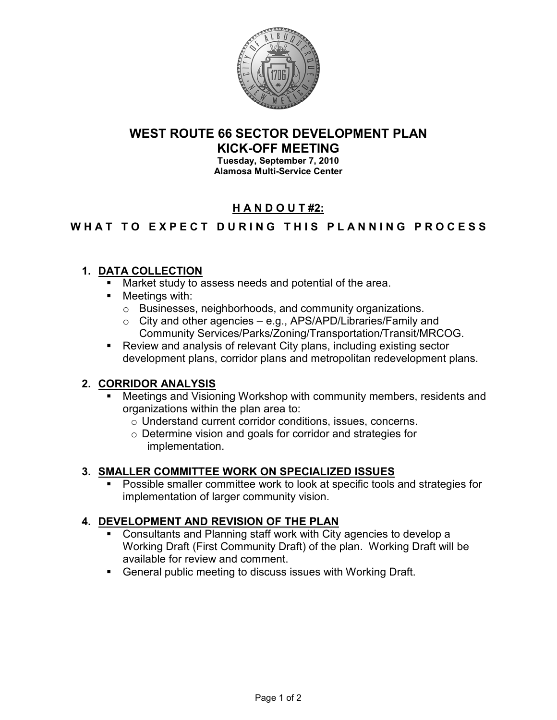

# WEST ROUTE 66 SECTOR DEVELOPMENT PLAN

KICK-OFF MEETING Tuesday, September 7, 2010

Alamosa Multi-Service Center

## H A N D O U T #2:

### WHAT TO EXPECT DURING THIS PLANNING PROCESS

#### 1. DATA COLLECTION

- Market study to assess needs and potential of the area.
- **Meetings with:** 
	- o Businesses, neighborhoods, and community organizations.
	- $\circ$  City and other agencies e.g., APS/APD/Libraries/Family and Community Services/Parks/Zoning/Transportation/Transit/MRCOG.
- Review and analysis of relevant City plans, including existing sector development plans, corridor plans and metropolitan redevelopment plans.

#### 2. CORRIDOR ANALYSIS

- Meetings and Visioning Workshop with community members, residents and organizations within the plan area to:
	- o Understand current corridor conditions, issues, concerns.
	- o Determine vision and goals for corridor and strategies for implementation.

#### 3. SMALLER COMMITTEE WORK ON SPECIALIZED ISSUES

 Possible smaller committee work to look at specific tools and strategies for implementation of larger community vision.

#### 4. DEVELOPMENT AND REVISION OF THE PLAN

- Consultants and Planning staff work with City agencies to develop a Working Draft (First Community Draft) of the plan. Working Draft will be available for review and comment.
- General public meeting to discuss issues with Working Draft.